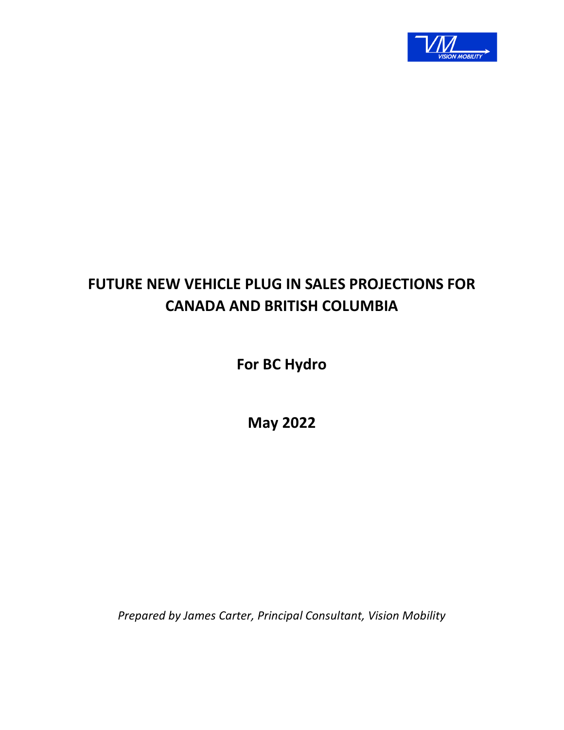

# **FUTURE NEW VEHICLE PLUG IN SALES PROJECTIONS FOR CANADA AND BRITISH COLUMBIA**

**For BC Hydro** 

**May 2022** 

*Prepared by James Carter, Principal Consultant, Vision Mobility*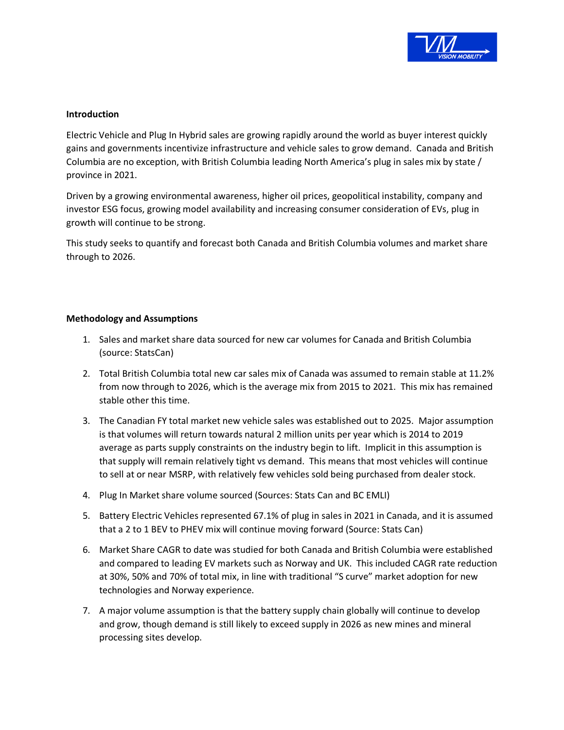

## **Introduction**

Electric Vehicle and Plug In Hybrid sales are growing rapidly around the world as buyer interest quickly gains and governments incentivize infrastructure and vehicle sales to grow demand. Canada and British Columbia are no exception, with British Columbia leading North America's plug in sales mix by state / province in 2021.

Driven by a growing environmental awareness, higher oil prices, geopolitical instability, company and investor ESG focus, growing model availability and increasing consumer consideration of EVs, plug in growth will continue to be strong.

This study seeks to quantify and forecast both Canada and British Columbia volumes and market share through to 2026.

#### **Methodology and Assumptions**

- 1. Sales and market share data sourced for new car volumes for Canada and British Columbia (source: StatsCan)
- 2. Total British Columbia total new car sales mix of Canada was assumed to remain stable at 11.2% from now through to 2026, which is the average mix from 2015 to 2021. This mix has remained stable other this time.
- 3. The Canadian FY total market new vehicle sales was established out to 2025. Major assumption is that volumes will return towards natural 2 million units per year which is 2014 to 2019 average as parts supply constraints on the industry begin to lift. Implicit in this assumption is that supply will remain relatively tight vs demand. This means that most vehicles will continue to sell at or near MSRP, with relatively few vehicles sold being purchased from dealer stock.
- 4. Plug In Market share volume sourced (Sources: Stats Can and BC EMLI)
- 5. Battery Electric Vehicles represented 67.1% of plug in sales in 2021 in Canada, and it is assumed that a 2 to 1 BEV to PHEV mix will continue moving forward (Source: Stats Can)
- 6. Market Share CAGR to date was studied for both Canada and British Columbia were established and compared to leading EV markets such as Norway and UK. This included CAGR rate reduction at 30%, 50% and 70% of total mix, in line with traditional "S curve" market adoption for new technologies and Norway experience.
- 7. A major volume assumption is that the battery supply chain globally will continue to develop and grow, though demand is still likely to exceed supply in 2026 as new mines and mineral processing sites develop.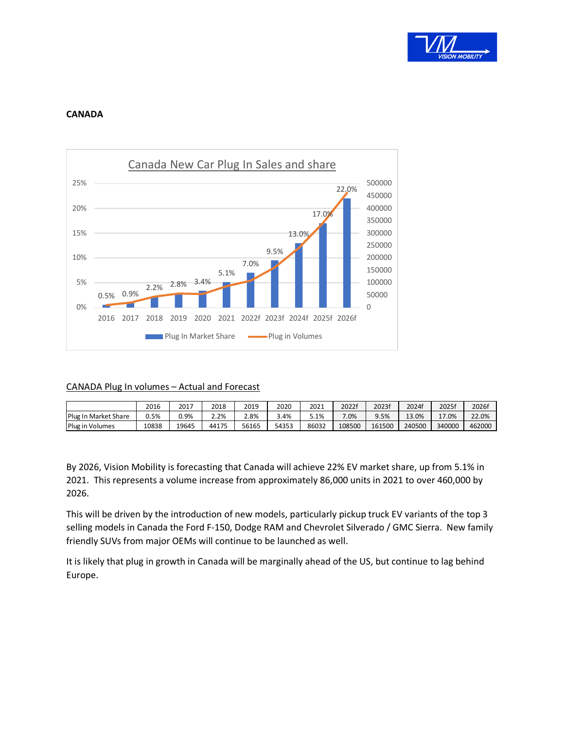

## **CANADA**



## CANADA Plug In volumes – Actual and Forecast

|                           | 2016  | 2017  | 2018  | 2019  | 2020  | 2021    | 20221  | 2023f  | 2024f     | 20251                    | 2026f  |
|---------------------------|-------|-------|-------|-------|-------|---------|--------|--------|-----------|--------------------------|--------|
| Plug II<br>e Market Share | J.5%  | .9%   | ⁄ם ר  | ∠.8%  | 3.4%  | $5.1\%$ | 7.0%   | 3%.    | .0%<br>12 | 17.0%<br>--------------- | 22.0%  |
| Plug in<br>⊧Volumes       | 10838 | 19645 | 44175 | 56165 | 54353 | 86032   | 108500 | 161500 | 240500    | 340000                   | 462000 |

By 2026, Vision Mobility is forecasting that Canada will achieve 22% EV market share, up from 5.1% in 2021. This represents a volume increase from approximately 86,000 units in 2021 to over 460,000 by 2026.

This will be driven by the introduction of new models, particularly pickup truck EV variants of the top 3 selling models in Canada the Ford F-150, Dodge RAM and Chevrolet Silverado / GMC Sierra. New family friendly SUVs from major OEMs will continue to be launched as well.

It is likely that plug in growth in Canada will be marginally ahead of the US, but continue to lag behind Europe.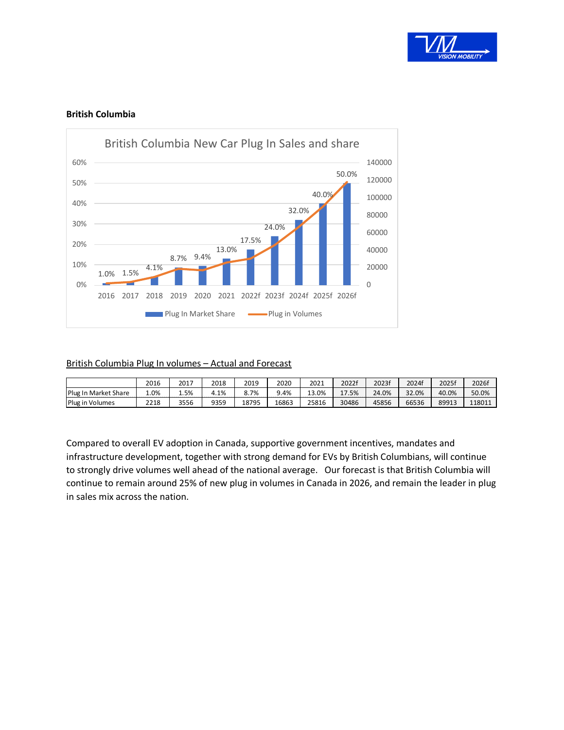

## **British Columbia**



#### British Columbia Plug In volumes – Actual and Forecast

|                           | 2016 | 2017 | 2018   | 2019  | 2020    | 2021          | 2022f | 2023f | 2024f | 2025f | 2026f  |
|---------------------------|------|------|--------|-------|---------|---------------|-------|-------|-------|-------|--------|
| Plug In<br>n Market Share | 1.0% | 5%   | $.1\%$ | .7%   | $9.4\%$ | .0%<br>ີ<br>. | 17.5% | 24.0% | 32.0% | 40.0% | 50.0%  |
| Plug in<br>າ Volumes      | 2210 | 3556 | 9359   | 18795 | 16863   | 25816         | 30486 | 45856 | 66536 | 89913 | 118011 |

Compared to overall EV adoption in Canada, supportive government incentives, mandates and infrastructure development, together with strong demand for EVs by British Columbians, will continue to strongly drive volumes well ahead of the national average. Our forecast is that British Columbia will continue to remain around 25% of new plug in volumes in Canada in 2026, and remain the leader in plug in sales mix across the nation.